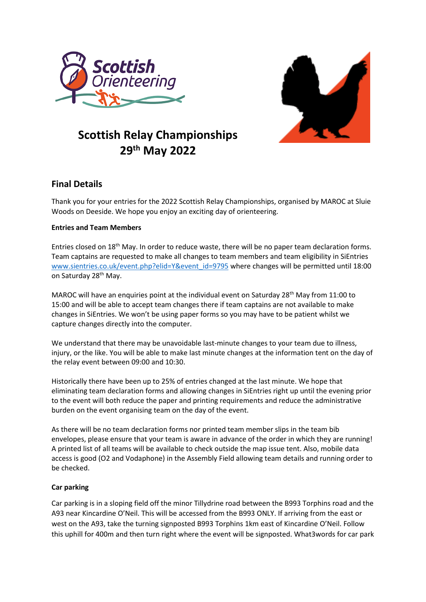



# **Scottish Relay Championships 29th May 2022**

# **Final Details**

Thank you for your entries for the 2022 Scottish Relay Championships, organised by MAROC at Sluie Woods on Deeside. We hope you enjoy an exciting day of orienteering.

# **Entries and Team Members**

Entries closed on 18<sup>th</sup> May. In order to reduce waste, there will be no paper team declaration forms. Team captains are requested to make all changes to team members and team eligibility in SiEntries [www.sientries.co.uk/event.php?elid=Y&event\\_id=9795](http://www.sientries.co.uk/event.php?elid=Y&event_id=9795) where changes will be permitted until 18:00 on Saturday 28<sup>th</sup> May.

MAROC will have an enquiries point at the individual event on Saturday 28th May from 11:00 to 15:00 and will be able to accept team changes there if team captains are not available to make changes in SiEntries. We won't be using paper forms so you may have to be patient whilst we capture changes directly into the computer.

We understand that there may be unavoidable last-minute changes to your team due to illness, injury, or the like. You will be able to make last minute changes at the information tent on the day of the relay event between 09:00 and 10:30.

Historically there have been up to 25% of entries changed at the last minute. We hope that eliminating team declaration forms and allowing changes in SiEntries right up until the evening prior to the event will both reduce the paper and printing requirements and reduce the administrative burden on the event organising team on the day of the event.

As there will be no team declaration forms nor printed team member slips in the team bib envelopes, please ensure that your team is aware in advance of the order in which they are running! A printed list of all teams will be available to check outside the map issue tent. Also, mobile data access is good (O2 and Vodaphone) in the Assembly Field allowing team details and running order to be checked.

# **Car parking**

Car parking is in a sloping field off the minor Tillydrine road between the B993 Torphins road and the A93 near Kincardine O'Neil. This will be accessed from the B993 ONLY. If arriving from the east or west on the A93, take the turning signposted B993 Torphins 1km east of Kincardine O'Neil. Follow this uphill for 400m and then turn right where the event will be signposted. What3words for car park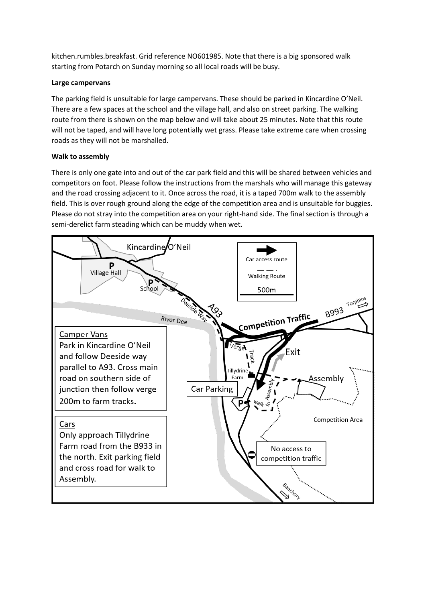kitchen.rumbles.breakfast. Grid reference NO601985. Note that there is a big sponsored walk starting from Potarch on Sunday morning so all local roads will be busy.

# **Large campervans**

The parking field is unsuitable for large campervans. These should be parked in Kincardine O'Neil. There are a few spaces at the school and the village hall, and also on street parking. The walking route from there is shown on the map below and will take about 25 minutes. Note that this route will not be taped, and will have long potentially wet grass. Please take extreme care when crossing roads as they will not be marshalled.

# **Walk to assembly**

There is only one gate into and out of the car park field and this will be shared between vehicles and competitors on foot. Please follow the instructions from the marshals who will manage this gateway and the road crossing adjacent to it. Once across the road, it is a taped 700m walk to the assembly field. This is over rough ground along the edge of the competition area and is unsuitable for buggies. Please do not stray into the competition area on your right-hand side. The final section is through a semi-derelict farm steading which can be muddy when wet.

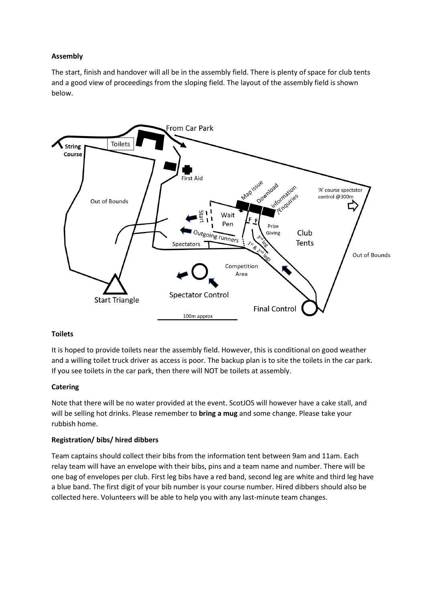# **Assembly**

The start, finish and handover will all be in the assembly field. There is plenty of space for club tents and a good view of proceedings from the sloping field. The layout of the assembly field is shown below.



# **Toilets**

It is hoped to provide toilets near the assembly field. However, this is conditional on good weather and a willing toilet truck driver as access is poor. The backup plan is to site the toilets in the car park. If you see toilets in the car park, then there will NOT be toilets at assembly.

#### **Catering**

Note that there will be no water provided at the event. ScotJOS will however have a cake stall, and will be selling hot drinks. Please remember to **bring a mug** and some change. Please take your rubbish home.

#### **Registration/ bibs/ hired dibbers**

Team captains should collect their bibs from the information tent between 9am and 11am. Each relay team will have an envelope with their bibs, pins and a team name and number. There will be one bag of envelopes per club. First leg bibs have a red band, second leg are white and third leg have a blue band. The first digit of your bib number is your course number. Hired dibbers should also be collected here. Volunteers will be able to help you with any last-minute team changes.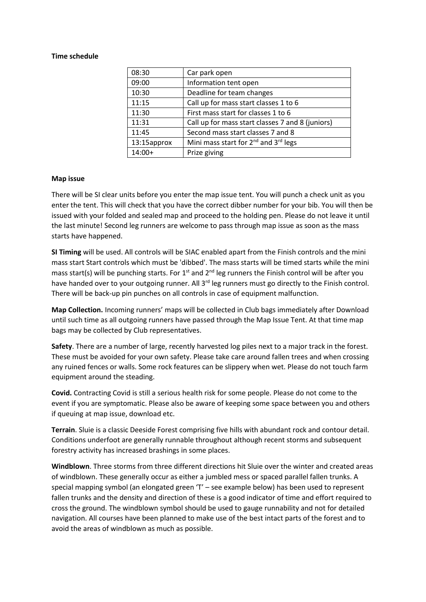#### **Time schedule**

| 08:30       | Car park open                                                |  |
|-------------|--------------------------------------------------------------|--|
| 09:00       | Information tent open                                        |  |
| 10:30       | Deadline for team changes                                    |  |
| 11:15       | Call up for mass start classes 1 to 6                        |  |
| 11:30       | First mass start for classes 1 to 6                          |  |
| 11:31       | Call up for mass start classes 7 and 8 (juniors)             |  |
| 11:45       | Second mass start classes 7 and 8                            |  |
| 13:15approx | Mini mass start for 2 <sup>nd</sup> and 3 <sup>rd</sup> legs |  |
| $14:00+$    | Prize giving                                                 |  |

#### **Map issue**

There will be SI clear units before you enter the map issue tent. You will punch a check unit as you enter the tent. This will check that you have the correct dibber number for your bib. You will then be issued with your folded and sealed map and proceed to the holding pen. Please do not leave it until the last minute! Second leg runners are welcome to pass through map issue as soon as the mass starts have happened.

**SI Timing** will be used. All controls will be SIAC enabled apart from the Finish controls and the mini mass start Start controls which must be 'dibbed'. The mass starts will be timed starts while the mini mass start(s) will be punching starts. For  $1^{st}$  and  $2^{nd}$  leg runners the Finish control will be after you have handed over to your outgoing runner. All 3<sup>rd</sup> leg runners must go directly to the Finish control. There will be back-up pin punches on all controls in case of equipment malfunction.

**Map Collection.** Incoming runners' maps will be collected in Club bags immediately after Download until such time as all outgoing runners have passed through the Map Issue Tent. At that time map bags may be collected by Club representatives.

**Safety**. There are a number of large, recently harvested log piles next to a major track in the forest. These must be avoided for your own safety. Please take care around fallen trees and when crossing any ruined fences or walls. Some rock features can be slippery when wet. Please do not touch farm equipment around the steading.

**Covid.** Contracting Covid is still a serious health risk for some people. Please do not come to the event if you are symptomatic. Please also be aware of keeping some space between you and others if queuing at map issue, download etc.

**Terrain**. Sluie is a classic Deeside Forest comprising five hills with abundant rock and contour detail. Conditions underfoot are generally runnable throughout although recent storms and subsequent forestry activity has increased brashings in some places.

**Windblown**. Three storms from three different directions hit Sluie over the winter and created areas of windblown. These generally occur as either a jumbled mess or spaced parallel fallen trunks. A special mapping symbol (an elongated green 'T' – see example below) has been used to represent fallen trunks and the density and direction of these is a good indicator of time and effort required to cross the ground. The windblown symbol should be used to gauge runnability and not for detailed navigation. All courses have been planned to make use of the best intact parts of the forest and to avoid the areas of windblown as much as possible.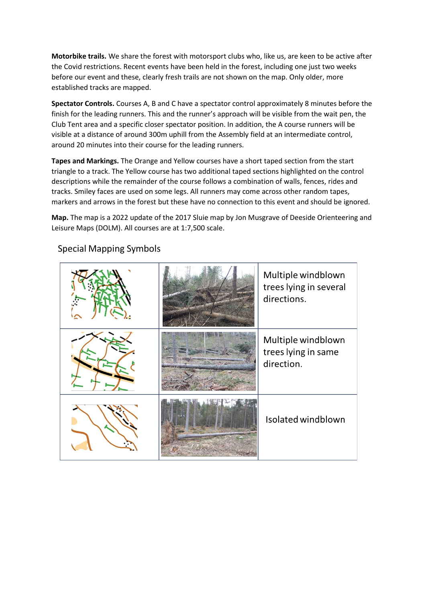**Motorbike trails.** We share the forest with motorsport clubs who, like us, are keen to be active after the Covid restrictions. Recent events have been held in the forest, including one just two weeks before our event and these, clearly fresh trails are not shown on the map. Only older, more established tracks are mapped.

**Spectator Controls.** Courses A, B and C have a spectator control approximately 8 minutes before the finish for the leading runners. This and the runner's approach will be visible from the wait pen, the Club Tent area and a specific closer spectator position. In addition, the A course runners will be visible at a distance of around 300m uphill from the Assembly field at an intermediate control, around 20 minutes into their course for the leading runners.

**Tapes and Markings.** The Orange and Yellow courses have a short taped section from the start triangle to a track. The Yellow course has two additional taped sections highlighted on the control descriptions while the remainder of the course follows a combination of walls, fences, rides and tracks. Smiley faces are used on some legs. All runners may come across other random tapes, markers and arrows in the forest but these have no connection to this event and should be ignored.

**Map.** The map is a 2022 update of the 2017 Sluie map by Jon Musgrave of Deeside Orienteering and Leisure Maps (DOLM). All courses are at 1:7,500 scale.

|  | Multiple windblown<br>trees lying in several<br>directions. |
|--|-------------------------------------------------------------|
|  | Multiple windblown<br>trees lying in same<br>direction.     |
|  | Isolated windblown                                          |

# **Special Mapping Symbols**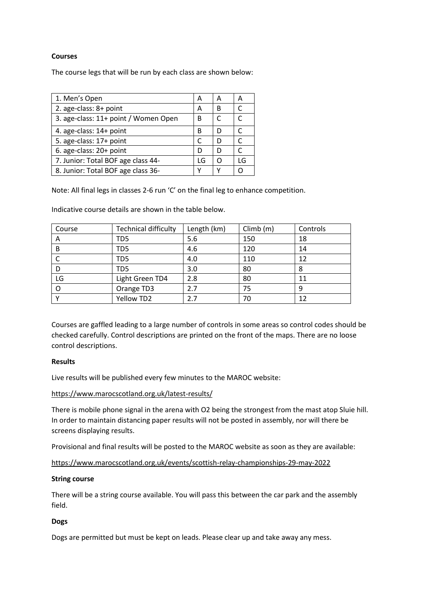#### **Courses**

The course legs that will be run by each class are shown below:

| 1. Men's Open                        |   | Α | А  |
|--------------------------------------|---|---|----|
| 2. age-class: 8+ point               |   | в |    |
| 3. age-class: 11+ point / Women Open |   |   |    |
| 4. age-class: 14+ point              |   | D |    |
| 5. age-class: 17+ point              |   | D |    |
| 6. age-class: 20+ point              | D | D |    |
| 7. Junior: Total BOF age class 44-   |   | ∩ | LG |
| 8. Junior: Total BOF age class 36-   |   |   | ∩  |

Note: All final legs in classes 2-6 run 'C' on the final leg to enhance competition.

Indicative course details are shown in the table below.

| Course | <b>Technical difficulty</b> | Length (km) | Climb(m) | Controls |
|--------|-----------------------------|-------------|----------|----------|
| A      | TD5                         | 5.6         | 150      | 18       |
| B      | TD5                         | 4.6         | 120      | 14       |
|        | TD5                         | 4.0         | 110      | 12       |
|        | TD5                         | 3.0         | 80       | 8        |
| LG     | Light Green TD4             | 2.8         | 80       | 11       |
|        | Orange TD3                  | 2.7         | 75       | 9        |
|        | Yellow TD2                  | 2.7         | 70       | 12       |

Courses are gaffled leading to a large number of controls in some areas so control codes should be checked carefully. Control descriptions are printed on the front of the maps. There are no loose control descriptions.

#### **Results**

Live results will be published every few minutes to the MAROC website:

<https://www.marocscotland.org.uk/latest-results/>

There is mobile phone signal in the arena with O2 being the strongest from the mast atop Sluie hill. In order to maintain distancing paper results will not be posted in assembly, nor will there be screens displaying results.

Provisional and final results will be posted to the MAROC website as soon as they are available:

<https://www.marocscotland.org.uk/events/scottish-relay-championships-29-may-2022>

#### **String course**

There will be a string course available. You will pass this between the car park and the assembly field.

# **Dogs**

Dogs are permitted but must be kept on leads. Please clear up and take away any mess.